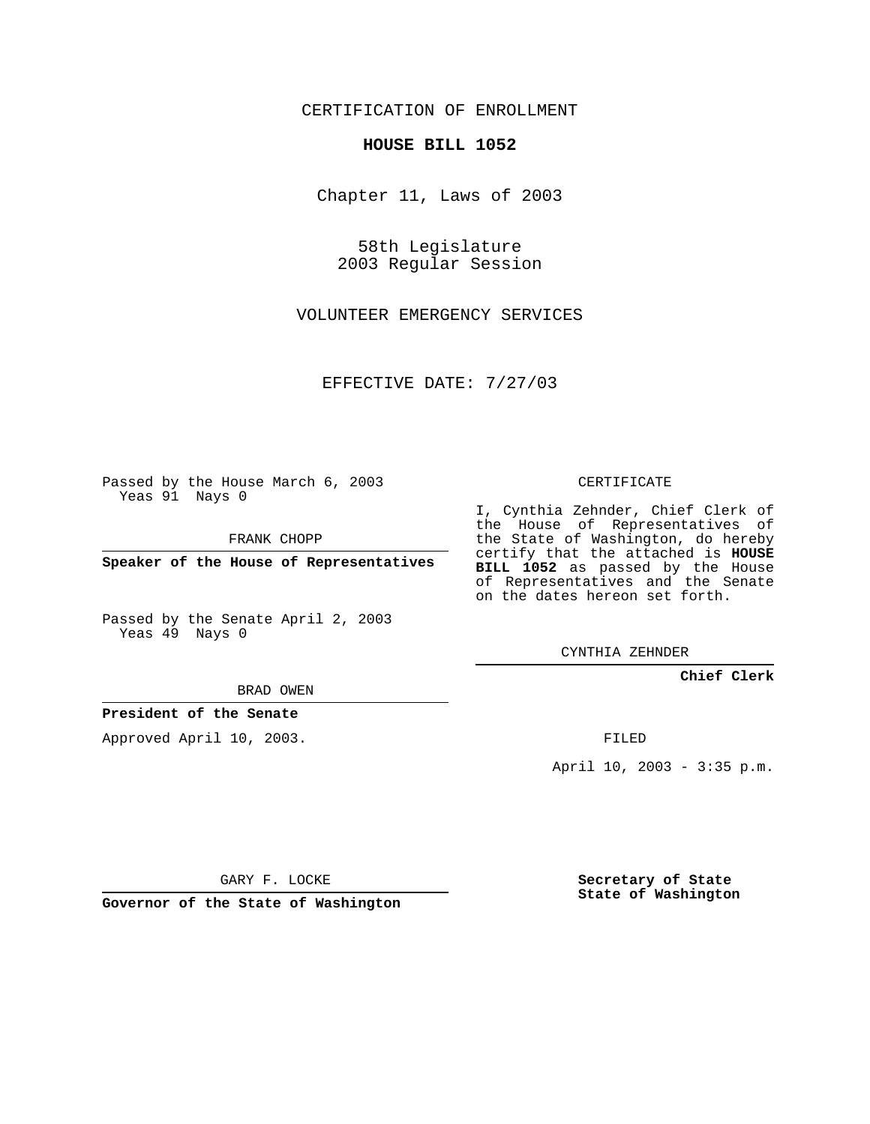CERTIFICATION OF ENROLLMENT

## **HOUSE BILL 1052**

Chapter 11, Laws of 2003

58th Legislature 2003 Regular Session

VOLUNTEER EMERGENCY SERVICES

EFFECTIVE DATE: 7/27/03

Passed by the House March 6, 2003 Yeas 91 Nays 0

FRANK CHOPP

**Speaker of the House of Representatives**

Passed by the Senate April 2, 2003 Yeas 49 Nays 0

BRAD OWEN

**President of the Senate**

Approved April 10, 2003.

CERTIFICATE

I, Cynthia Zehnder, Chief Clerk of the House of Representatives of the State of Washington, do hereby certify that the attached is **HOUSE BILL 1052** as passed by the House of Representatives and the Senate on the dates hereon set forth.

CYNTHIA ZEHNDER

**Chief Clerk**

FILED

April 10, 2003 - 3:35 p.m.

GARY F. LOCKE

**Governor of the State of Washington**

**Secretary of State State of Washington**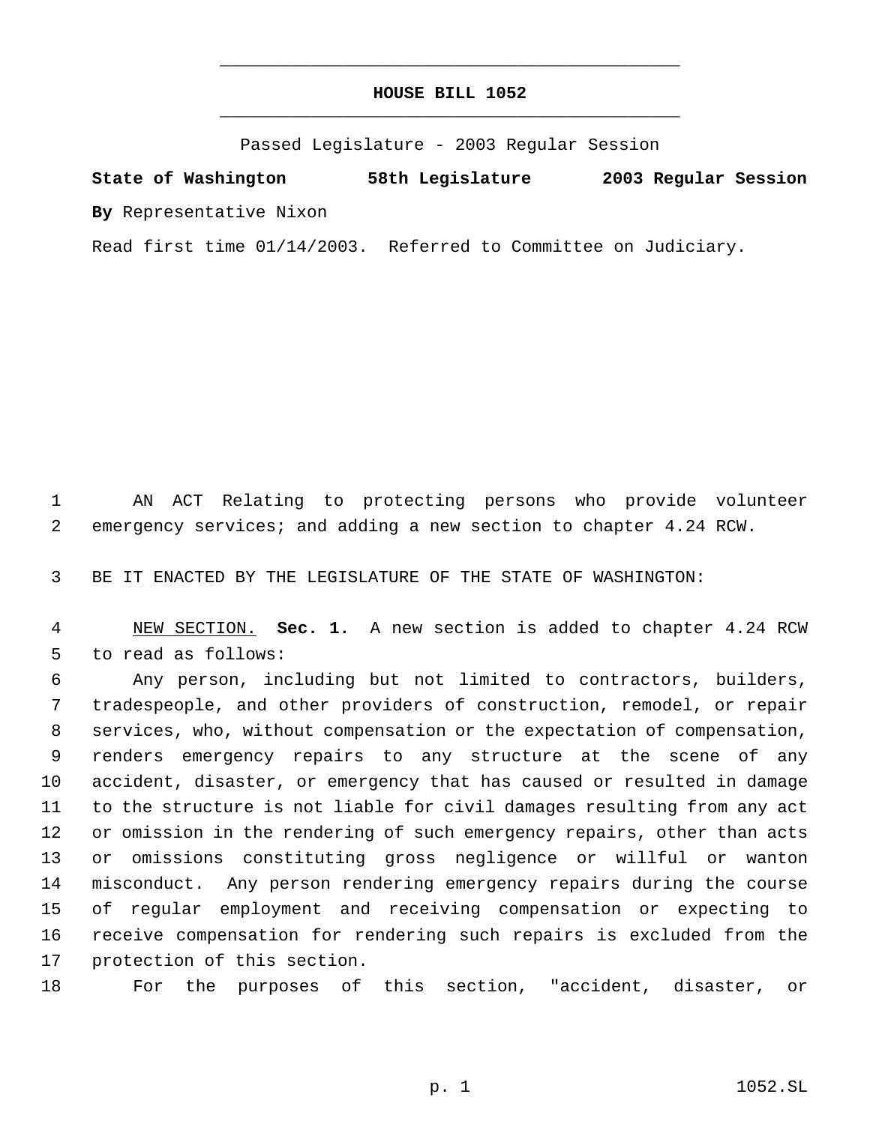## **HOUSE BILL 1052** \_\_\_\_\_\_\_\_\_\_\_\_\_\_\_\_\_\_\_\_\_\_\_\_\_\_\_\_\_\_\_\_\_\_\_\_\_\_\_\_\_\_\_\_\_

\_\_\_\_\_\_\_\_\_\_\_\_\_\_\_\_\_\_\_\_\_\_\_\_\_\_\_\_\_\_\_\_\_\_\_\_\_\_\_\_\_\_\_\_\_

Passed Legislature - 2003 Regular Session

**State of Washington 58th Legislature 2003 Regular Session By** Representative Nixon

Read first time 01/14/2003. Referred to Committee on Judiciary.

 AN ACT Relating to protecting persons who provide volunteer emergency services; and adding a new section to chapter 4.24 RCW.

BE IT ENACTED BY THE LEGISLATURE OF THE STATE OF WASHINGTON:

 NEW SECTION. **Sec. 1.** A new section is added to chapter 4.24 RCW to read as follows:

 Any person, including but not limited to contractors, builders, tradespeople, and other providers of construction, remodel, or repair services, who, without compensation or the expectation of compensation, renders emergency repairs to any structure at the scene of any accident, disaster, or emergency that has caused or resulted in damage to the structure is not liable for civil damages resulting from any act or omission in the rendering of such emergency repairs, other than acts or omissions constituting gross negligence or willful or wanton misconduct. Any person rendering emergency repairs during the course of regular employment and receiving compensation or expecting to receive compensation for rendering such repairs is excluded from the protection of this section.

For the purposes of this section, "accident, disaster, or